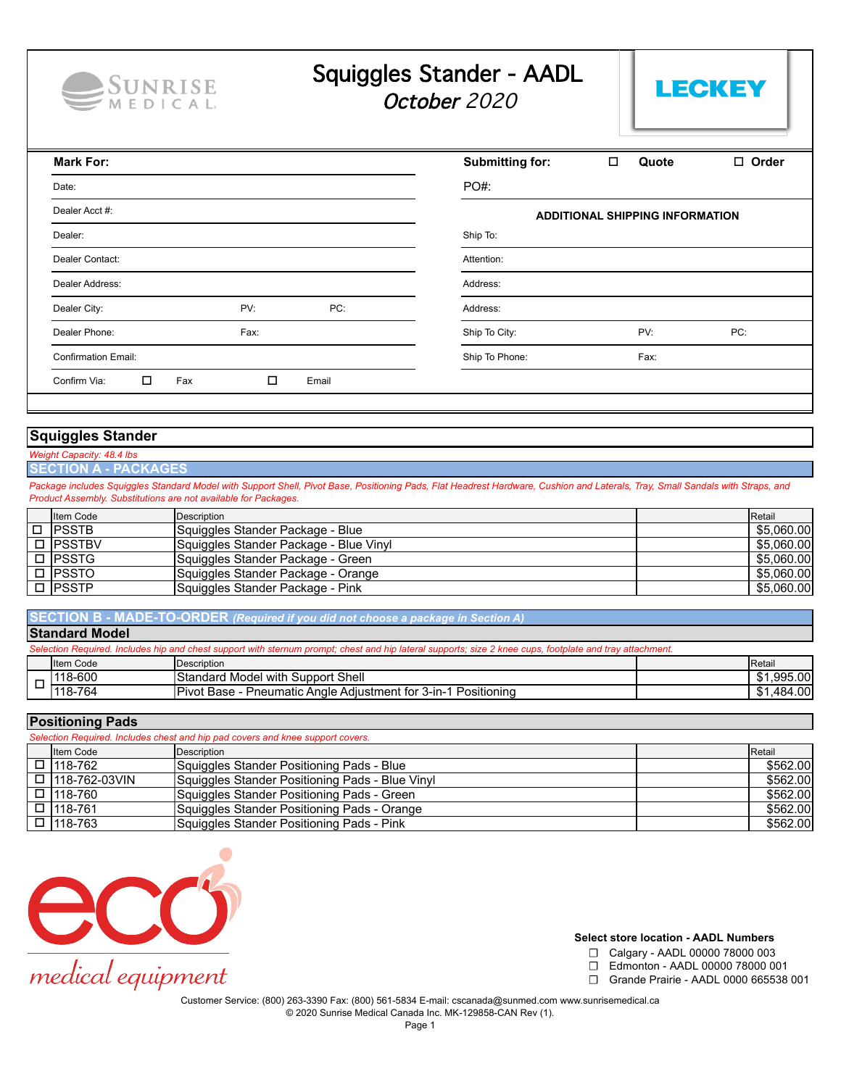

# Squiggles Stander - AADL

October 2020



| <b>Mark For:</b>                                 | <b>Submitting for:</b><br>$\Box$ Order<br>□<br>Quote |
|--------------------------------------------------|------------------------------------------------------|
| Date:                                            | PO#:                                                 |
| Dealer Acct #:                                   | <b>ADDITIONAL SHIPPING INFORMATION</b>               |
| Dealer:                                          | Ship To:                                             |
| Dealer Contact:                                  | Attention:                                           |
| Dealer Address:                                  | Address:                                             |
| PV:<br>Dealer City:<br>PC:                       | Address:                                             |
| Fax:<br>Dealer Phone:                            | PV:<br>Ship To City:<br>PC:                          |
| <b>Confirmation Email:</b>                       | Ship To Phone:<br>Fax:                               |
| $\Box$<br>$\Box$<br>Confirm Via:<br>Fax<br>Email |                                                      |

## **Squiggles Stander**

- *Capacity: 48.4 lbs*
- **SECTION A PACKAGES**

Package includes Squiggles Standard Model with Support Shell, Pivot Base, Positioning Pads, Flat Headrest Hardware, Cushion and Laterals, Tray, Small Sandals with Straps, and *Product Assembly. Substitutions are not available for Packages.*

| <b>Iltem Code</b> | Description                            | <b>I</b> Retail |
|-------------------|----------------------------------------|-----------------|
| I□ IPSSTB         | Squiggles Stander Package - Blue       | \$5.060.00      |
| □ IPSSTBV         | Squiggles Stander Package - Blue Vinyl | \$5.060.00      |
| $\Box$ IPSSTG     | Squiggles Stander Package - Green      | \$5,060.00      |
| $\square$ IPSSTO  | Squiggles Stander Package - Orange     | \$5,060.00      |
| $\Box$ IPSSTP     | Squiggles Stander Package - Pink       | \$5,060.00      |

**Standard Model B** - MADE-TO-ORDER *(Required if you did not choose a package in Section A)* 

| 19199191919997                                                                                                                                           |                   |                                                                |                 |  |  |
|----------------------------------------------------------------------------------------------------------------------------------------------------------|-------------------|----------------------------------------------------------------|-----------------|--|--|
| Selection Required. Includes hip and chest support with sternum prompt; chest and hip lateral supports; size 2 knee cups, footplate and tray attachment. |                   |                                                                |                 |  |  |
|                                                                                                                                                          | <b>Iltem Code</b> | Description                                                    | <b>I</b> Retail |  |  |
|                                                                                                                                                          | 118-600           | Standard Model with Support Shell                              | \$1,995.00      |  |  |
|                                                                                                                                                          | 118-764           | Pivot Base - Pneumatic Angle Adjustment for 3-in-1 Positioning | \$1,484.00      |  |  |

### **Positioning Pads**

| Selection Required. Includes chest and hip pad covers and knee support covers. |                 |                                                 |  |          |
|--------------------------------------------------------------------------------|-----------------|-------------------------------------------------|--|----------|
|                                                                                | Item Code       | Description                                     |  | Retail   |
|                                                                                | □ 1118-762      | Squiggles Stander Positioning Pads - Blue       |  | \$562.00 |
|                                                                                | □ 118-762-03VIN | Squiggles Stander Positioning Pads - Blue Vinyl |  | \$562.00 |
|                                                                                | □ 1118-760      | Squiggles Stander Positioning Pads - Green      |  | \$562.00 |
|                                                                                | □ 118-761       | Squiggles Stander Positioning Pads - Orange     |  | \$562.00 |
|                                                                                | □ 118-763       | Squiggles Stander Positioning Pads - Pink       |  | \$562.00 |



#### **Select store location - AADL Numbers**

- ☐ Calgary AADL 00000 78000 003
	- ☐ Edmonton AADL 00000 78000 001
	- ☐ Grande Prairie AADL 0000 665538 001

© 2020 Sunrise Medical Canada Inc. MK-129858-CAN Rev (1).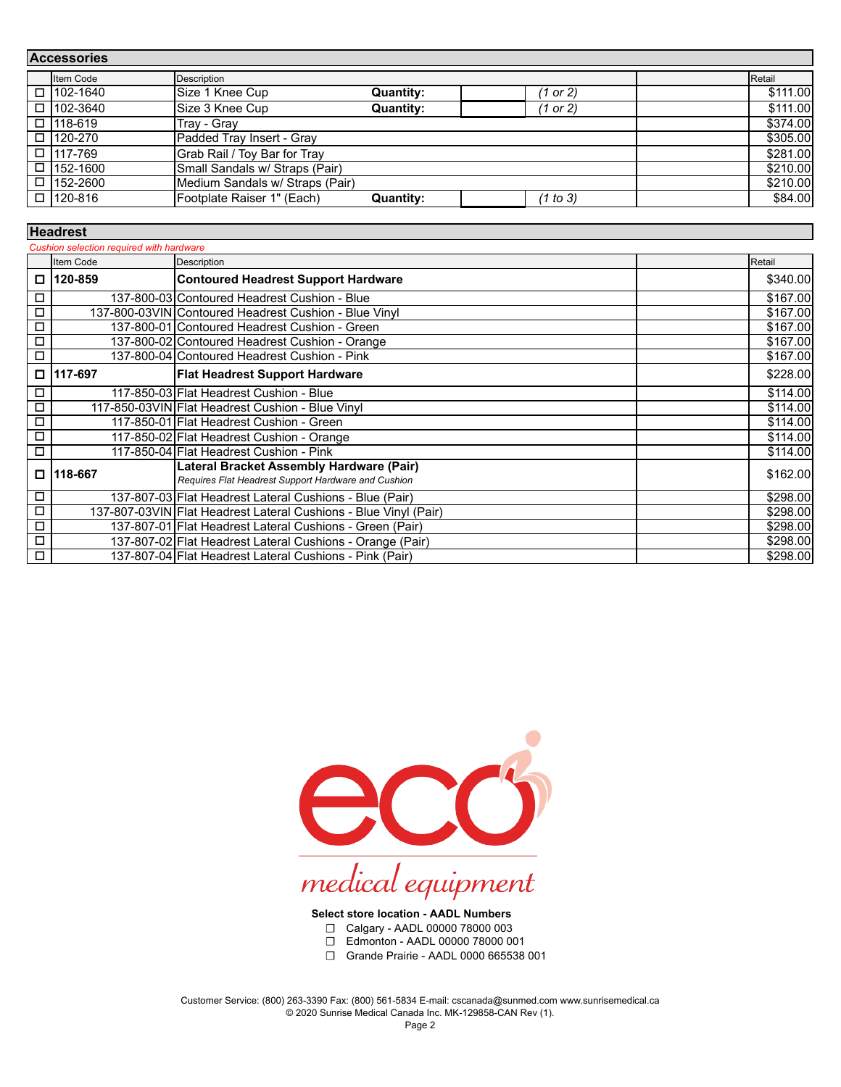| <b>Accessories</b> |                  |                                 |                  |          |          |         |
|--------------------|------------------|---------------------------------|------------------|----------|----------|---------|
|                    | Item Code        | Description                     |                  |          | Retail   |         |
|                    | □ 102-1640       | Size 1 Knee Cup                 | <b>Quantity:</b> | (1 or 2) | \$111.00 |         |
|                    | □ 102-3640       | Size 3 Knee Cup                 | <b>Quantity:</b> | (1 or 2) | \$111.00 |         |
|                    | $\Box$ 118-619   | Trav - Grav                     |                  |          | \$374.00 |         |
|                    | □ 120-270        | Padded Tray Insert - Gray       |                  |          | \$305.00 |         |
|                    | □ 117-769        | Grab Rail / Toy Bar for Tray    |                  |          | \$281.00 |         |
|                    | $\Box$ 1152-1600 | Small Sandals w/ Straps (Pair)  |                  |          | \$210.00 |         |
|                    | $\Box$ 152-2600  | Medium Sandals w/ Straps (Pair) |                  |          | \$210.00 |         |
|                    | □ 120-816        | Footplate Raiser 1" (Each)      | Quantity:        | (1 to 3) |          | \$84.00 |

| Cushion selection required with hardware            |                                                           |                                                                                                 |          |  |
|-----------------------------------------------------|-----------------------------------------------------------|-------------------------------------------------------------------------------------------------|----------|--|
|                                                     | Item Code<br>Description                                  |                                                                                                 | Retail   |  |
|                                                     | 120-859                                                   | <b>Contoured Headrest Support Hardware</b>                                                      | \$340.00 |  |
| □                                                   |                                                           | 137-800-03 Contoured Headrest Cushion - Blue                                                    | \$167.00 |  |
| □                                                   |                                                           | 137-800-03VIN Contoured Headrest Cushion - Blue Vinyl                                           | \$167.00 |  |
| □                                                   |                                                           | 137-800-01 Contoured Headrest Cushion - Green                                                   | \$167.00 |  |
| 137-800-02 Contoured Headrest Cushion - Orange<br>Д |                                                           | \$167.00                                                                                        |          |  |
| $\Box$                                              |                                                           | 137-800-04 Contoured Headrest Cushion - Pink                                                    | \$167.00 |  |
| □                                                   | 117-697                                                   | Flat Headrest Support Hardware                                                                  | \$228.00 |  |
| □                                                   |                                                           | 117-850-03 Flat Headrest Cushion - Blue                                                         | \$114.00 |  |
| □                                                   |                                                           | 117-850-03VIN Flat Headrest Cushion - Blue Vinyl                                                | \$114.00 |  |
| Д                                                   |                                                           | 117-850-01 Flat Headrest Cushion - Green                                                        | \$114.00 |  |
| □                                                   |                                                           | 117-850-02 Flat Headrest Cushion - Orange                                                       | \$114.00 |  |
| □                                                   | 117-850-04 Flat Headrest Cushion - Pink                   |                                                                                                 | \$114.00 |  |
| О                                                   | 118-667                                                   | Lateral Bracket Assembly Hardware (Pair)<br>Requires Flat Headrest Support Hardware and Cushion | \$162.00 |  |
| $\Box$                                              |                                                           | 137-807-03 Flat Headrest Lateral Cushions - Blue (Pair)                                         | \$298.00 |  |
| $\Box$                                              |                                                           | 137-807-03VIN Flat Headrest Lateral Cushions - Blue Vinyl (Pair)                                | \$298.00 |  |
| Д                                                   |                                                           | 137-807-01 Flat Headrest Lateral Cushions - Green (Pair)                                        | \$298.00 |  |
| $\Box$                                              | 137-807-02 Flat Headrest Lateral Cushions - Orange (Pair) |                                                                                                 | \$298.00 |  |
| $\Box$                                              |                                                           | 137-807-04 Flat Headrest Lateral Cushions - Pink (Pair)                                         | \$298.00 |  |



## **Select store location - AADL Numbers**

- ☐ Calgary AADL 00000 78000 003
- ☐ Edmonton AADL 00000 78000 001
- ☐ Grande Prairie AADL 0000 665538 001

Customer Service: (800) 263-3390 Fax: (800) 561-5834 E-mail: cscanada@sunmed.com www.sunrisemedical.ca © 2020 Sunrise Medical Canada Inc. MK-129858-CAN Rev (1).